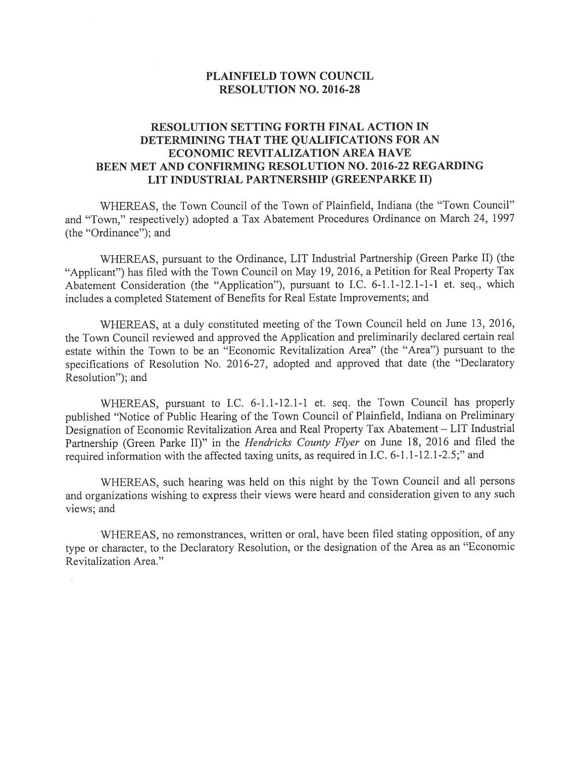## PLAINFIELD TOWN COUNCIL RESOLUTION NO. 2016-28

## RESOLUTION SETTING FORTH FINAL ACTION IN DETERMINING THAT THE QUALIFICATIONS FOR AN ECONOMIC REVITALIZATION AREA HAVE BEEN MET AND CONFIRMING RESOLUTION NO. 2016-22 REGARDING LIT INDUSTRIAL PARTNERSHIP (GREENPARKE II)

WHEREAS, the Town Council of the Town of Plainfield, Indiana (the "Town Council" and "Town," respectively) adopted a Tax Abatement Procedures Ordinance on March 24, 1997 (the "Ordinance"); and

WHEREAS, pursuant to the Ordinance, LIT Industrial Partnership (Green Parke II) (the "Applicant") has filed with the Town Council on May 19, 2016, a Petition for Real Property Tax Abatement Consideration (the "Application"), pursuant to I.C. 6-1.1-12.1-1-1 et. seq., which includes a completed Statement of Benefits for Real Estate Improvements; and

WHEREAS, at a duly constituted meeting of the Town Council held on June 13, 2016, the Town Council reviewed and approved the Application and preliminarily declared certain real estate within the Town to be an "Economic Revitalization Area" (the "Area") pursuant to the specifications of Resolution No. 2016-27, adopted and approved that date (the "Declaratory Resolution"); and

WHEREAS, pursuant to I.C. 6-1.1-12.1-1 et. seq. the Town Council has properly published 'Notice of Public Hearing of the Town Council of Plainfield, Indiana on Preliminary Designation of Economic Revitalization Area and Real Property Tax Abatement — LIT Industrial Partnership (Green Parke II)" in the Hendricks County Flyer on June 18, 2016 and filed the required information with the affected taxing units, as required in I.C. 6-1.1-12.1-2.5;" and

WHEREAS, such hearing was held on this night by the Town Council and all persons and organizations wishing to express their views were heard and consideration given to any such views; and

WHEREAS, no remonstrances, written or oral, have been filed stating opposition, of any type or character, to the Declaratory Resolution, or the designation of the Area as an "Economic Revitalization Area."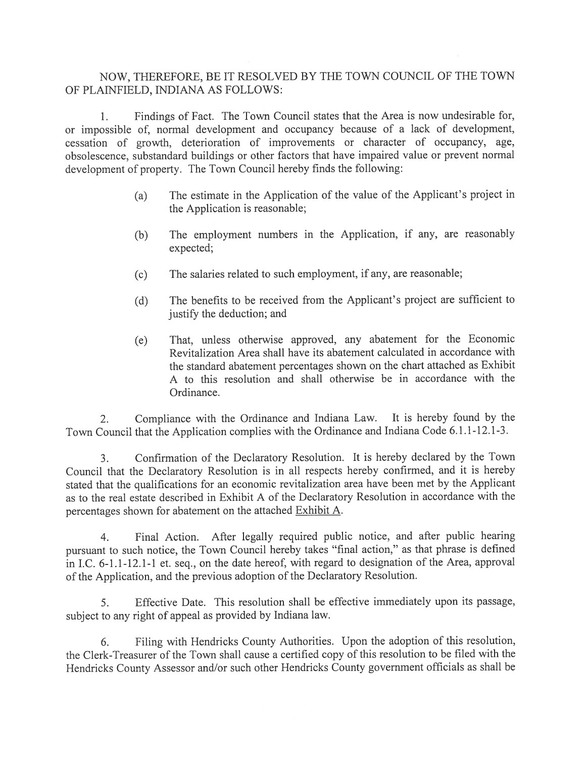## NOW, THEREFORE, BE IT RESOLVED BY THE TOWN COUNCIL OF THE TOWN OF PLAINFIELD, INDIANA AS FOLLOWS:

1. Findings of Fact. The Town Council states that the Area is now undesirable for, or impossible of, normal development and occupancy because of <sup>a</sup> lack of development, cessation of growth, deterioration of improvements or character of occupancy, age, obsolescence, substandard buildings or other factors that have impaired value or preven<sup>t</sup> normal development of property. The Town Council hereby finds the following:

- (a) The estimate in the Application of the value of the Applicant's project in the Application is reasonable;
- (b) The employment numbers in the Application, if any, are reasonably expected;
- (c) The salaries related to such employment, if any, are reasonable;
- (d) The benefits to be received from the Applicant's project are sufficient to justify the deduction; and
- (e) That, unless otherwise approved, any abatement for the Economic Revitalization Area shall have its abatement calculated in accordance with the standard abatement percentages shown on the chart attached as Exhibit A to this resolution and shall otherwise be in accordance with the Ordinance.

2. Compliance with the Ordinance and Indiana Law. It is hereby found by the Town Council that the Application complies with the Ordinance and Indiana Code 6.1.1-12.1-3.

3. Confirmation of the Declaratory Resolution. It is hereby declared by the Town Council that the Declaratory Resolution is in all respects hereby confirmed, and it is hereby stated that the qualifications for an economic revitalization area have been met by the Applicant as to the real estate described in Exhibit A of the Declaratory Resolution in accordance with the percentages shown for abatement on the attached Exhibit A.

4. Final Action. After legally required public notice, and after public hearing pursuan<sup>t</sup> to such notice, the Town Council hereby takes "final action," as that <sup>p</sup>hrase is defined in I.C. 6-1.1-12.1-1 et. seq., on the date hereof, with regar<sup>d</sup> to designation of the Area, approva<sup>l</sup> of the Application, and the previous adoption of the Declaratory Resolution.

5. Effective Date. This resolution shall be effective immediately upon its passage, subject to any right of appea<sup>l</sup> as provided by Indiana law.

6. Filing with Hendricks County Authorities. Upon the adoption of this resolution, the Clerk-Treasurer of the Town shall cause <sup>a</sup> certified copy of this resolution to be filed with the Hendricks County Assessor and/or such other Hendricks County governmen<sup>t</sup> officials as shall be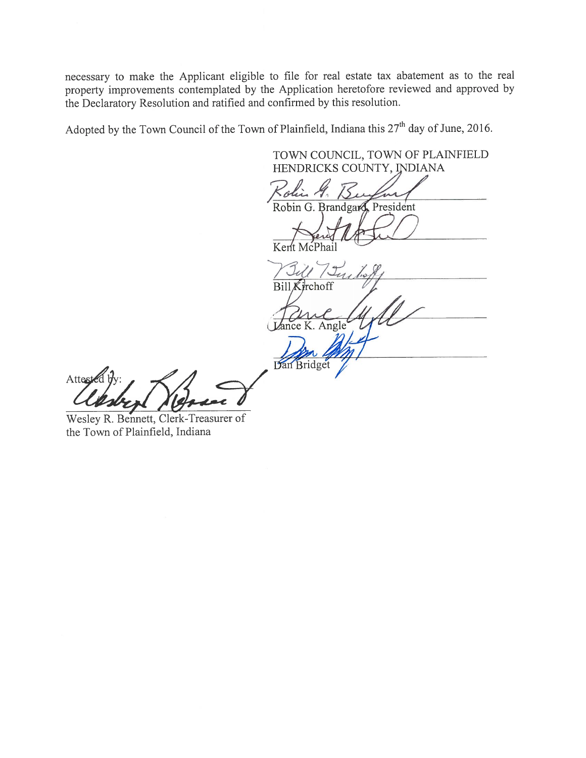necessary to make the Applicant eligible to file for real estate tax abatement as to the real property improvements contemplated by the Application heretofore reviewed and approved by the Declaratory Resolution and ratified and confirmed by this resolution.

Adopted by the Town Council of the Town of Plainfield, Indiana this  $27<sup>th</sup>$  day of June, 2016.

TOWN COUNCIL, TOWN Of PLAINFIELD HENDRICKS COUNTY, INDIANA Robin G. Brandgard, President Dutchel Kent McPhail  $J_{4}$ / Tuite Bill Kirchoff Lance K. Angle Dan Bridget

Atteste

Wesley R. Bennett, Clerk-Treasurer of the Town of Plainfield, Indiana